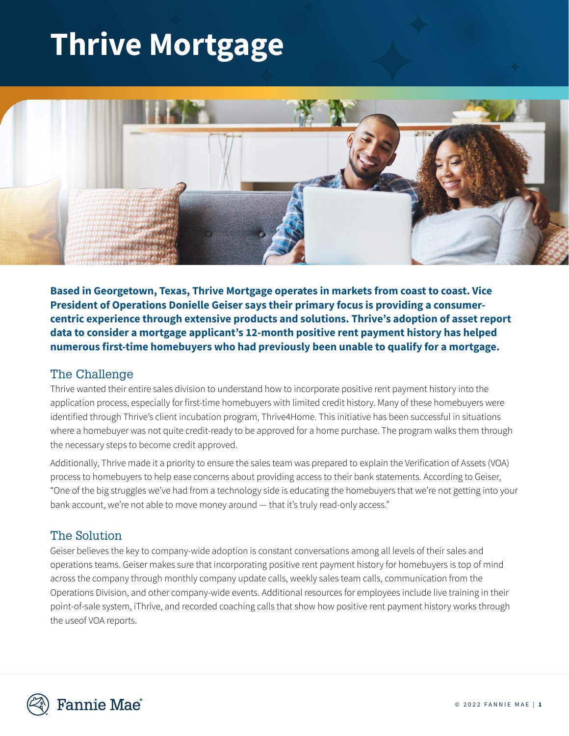# **Thrive Mortgage**



**Based in Georgetown, Texas, Thrive Mortgage operates in markets from coast to coast. Vice President of Operations Donielle Geiser says their primary focus is providing a consumercentric experience through extensive products and solutions. Thrive's adoption of asset report data to consider a mortgage applicant's 12-month positive rent payment history has helped numerous first-time homebuyers who had previously been unable to qualify for a mortgage.**

### The Challenge

Thrive wanted their entire sales division to understand how to incorporate positive rent payment history into the application process, especially for first-time homebuyers with limited credit history. Many of these homebuyers were identified through Thrive's client incubation program, Thrive4Home. This initiative has been successful in situations where a homebuyer was not quite credit-ready to be approved for a home purchase. The program walks them through the necessary steps to become credit approved.

Additionally, Thrive made it a priority to ensure the sales team was prepared to explain the Verification of Assets (VOA) process to homebuyers to help ease concerns about providing access to their bank statements. According to Geiser, "One of the big struggles we've had from a technology side is educating the homebuyers that we're not getting into your bank account, we're not able to move money around — that it's truly read-only access."

### The Solution

Geiser believes the key to company-wide adoption is constant conversations among all levels of their sales and operations teams. Geiser makes sure that incorporating positive rent payment history for homebuyers is top of mind across the company through monthly company update calls, weekly sales team calls, communication from the Operations Division, and other company-wide events. Additional resources for employees include live training in their point-of-sale system, iThrive, and recorded coaching calls that show how positive rent payment history works through the useof VOA reports.